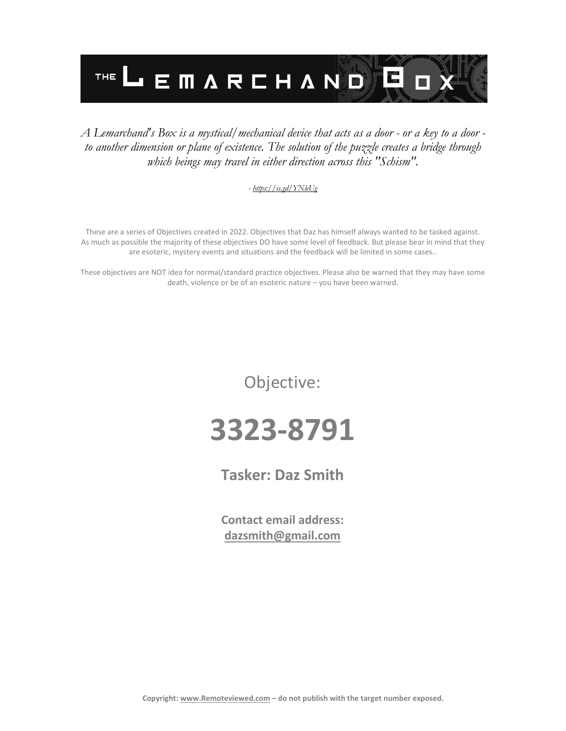

#### *A Lemarchand's Box is a mystical/mechanical device that acts as a door - or a key to a door to another dimension or plane of existence. The solution of the puzzle creates a bridge through which beings may travel in either direction across this "Schism".*

#### *- <https://is.gd/YNleUg>*

These are a series of Objectives created in 2022. Objectives that Daz has himself always wanted to be tasked against. As much as possible the majority of these objectives DO have some level of feedback. But please bear in mind that they are esoteric, mystery events and situations and the feedback will be limited in some cases..

These objectives are NOT idea for normal/standard practice objectives. Please also be warned that they may have some death, violence or be of an esoteric nature – you have been warned.

Objective:

## **3323-8791**

**Tasker: Daz Smith**

**Contact email address: [dazsmith@gmail.com](mailto:dazsmith@gmail.com)**